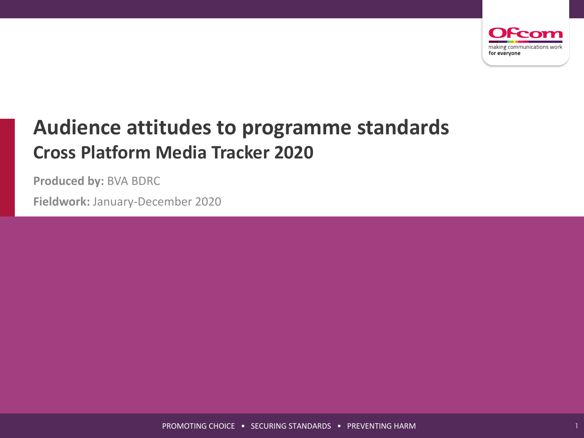

# **Audience attitudes to programme standards Cross Platform Media Tracker 2020**

**Produced by:** BVA BDRC

**Fieldwork:** January-December 2020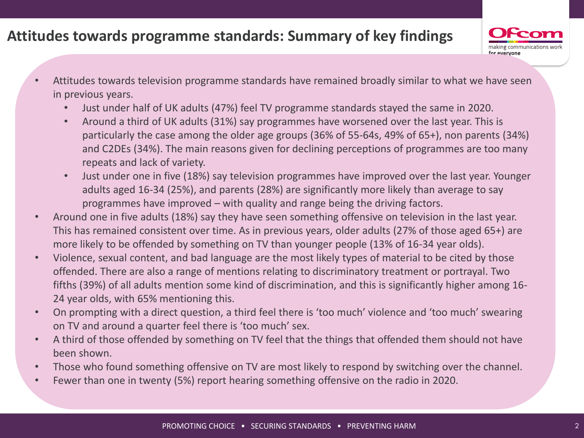## **Attitudes towards programme standards: Summary of key findings**



- Attitudes towards television programme standards have remained broadly similar to what we have seen in previous years.
	- Just under half of UK adults (47%) feel TV programme standards stayed the same in 2020.
	- Around a third of UK adults (31%) say programmes have worsened over the last year. This is particularly the case among the older age groups (36% of 55-64s, 49% of 65+), non parents (34%) and C2DEs (34%). The main reasons given for declining perceptions of programmes are too many repeats and lack of variety.
	- Just under one in five (18%) say television programmes have improved over the last year. Younger adults aged 16-34 (25%), and parents (28%) are significantly more likely than average to say programmes have improved – with quality and range being the driving factors.
- Around one in five adults (18%) say they have seen something offensive on television in the last year. This has remained consistent over time. As in previous years, older adults (27% of those aged 65+) are more likely to be offended by something on TV than younger people (13% of 16-34 year olds).
- Violence, sexual content, and bad language are the most likely types of material to be cited by those offended. There are also a range of mentions relating to discriminatory treatment or portrayal. Two fifths (39%) of all adults mention some kind of discrimination, and this is significantly higher among 16- 24 year olds, with 65% mentioning this.
- On prompting with a direct question, a third feel there is 'too much' violence and 'too much' swearing on TV and around a quarter feel there is 'too much' sex.
- A third of those offended by something on TV feel that the things that offended them should not have been shown.
- Those who found something offensive on TV are most likely to respond by switching over the channel.
- Fewer than one in twenty (5%) report hearing something offensive on the radio in 2020.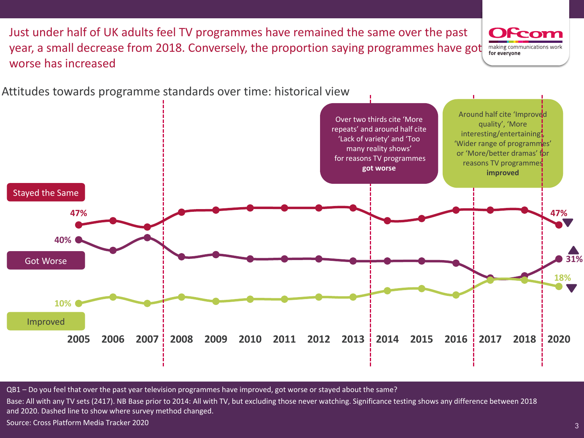

Attitudes towards programme standards over time: historical view

Just under half of UK adults feel TV programmes have remained the same over the past

year, a small decrease from 2018. Conversely, the proportion saying programmes have got

QB1 – Do you feel that over the past year television programmes have improved, got worse or stayed about the same?

Base: All with any TV sets (2417). NB Base prior to 2014: All with TV, but excluding those never watching. Significance testing shows any difference between 2018 and 2020. Dashed line to show where survey method changed.

Source: Cross Platform Media Tracker 2020

worse has increased

ı

making communications wor

for everyone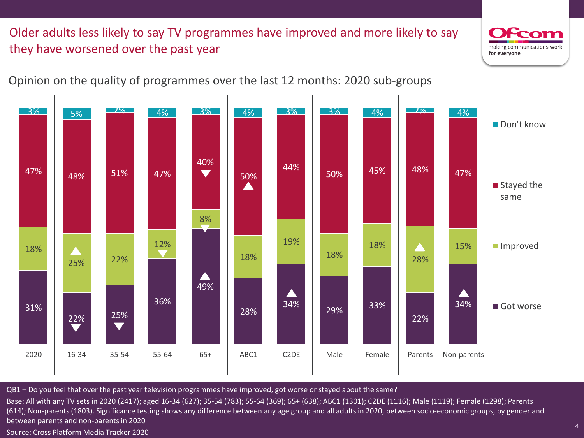### Older adults less likely to say TV programmes have improved and more likely to say they have worsened over the past year



4



#### Opinion on the quality of programmes over the last 12 months: 2020 sub-groups

QB1 – Do you feel that over the past year television programmes have improved, got worse or stayed about the same?

Base: All with any TV sets in 2020 (2417); aged 16-34 (627); 35-54 (783); 55-64 (369); 65+ (638); ABC1 (1301); C2DE (1116); Male (1119); Female (1298); Parents (614); Non-parents (1803). Significance testing shows any difference between any age group and all adults in 2020, between socio-economic groups, by gender and between parents and non-parents in 2020

Source: Cross Platform Media Tracker 2020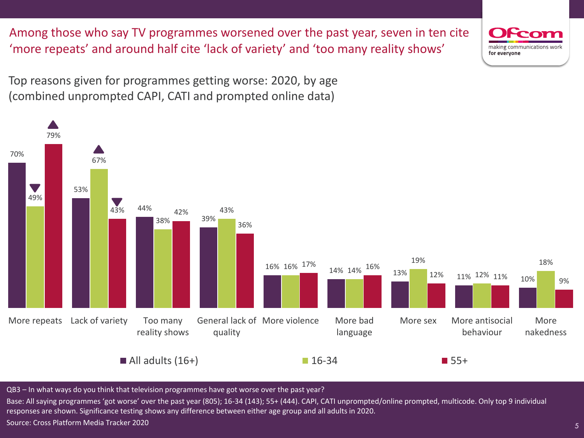Among those who say TV programmes worsened over the past year, seven in ten cite 'more repeats' and around half cite 'lack of variety' and 'too many reality shows'

Top reasons given for programmes getting worse: 2020, by age (combined unprompted CAPI, CATI and prompted online data)



QB3 – In what ways do you think that television programmes have got worse over the past year?

Base: All saying programmes 'got worse' over the past year (805); 16-34 (143); 55+ (444). CAPI, CATI unprompted/online prompted, multicode. Only top 9 individual responses are shown. Significance testing shows any difference between either age group and all adults in 2020.

Source: Cross Platform Media Tracker 2020

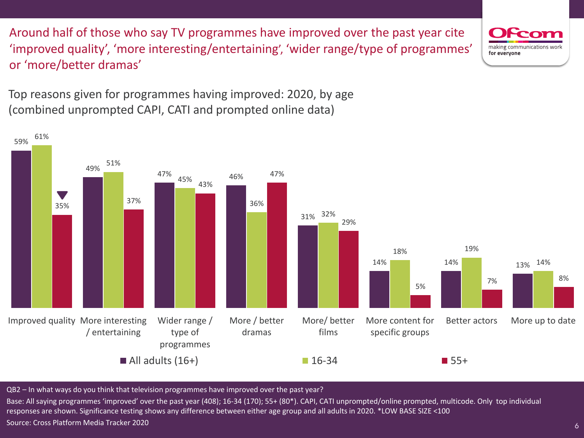Around half of those who say TV programmes have improved over the past year cite 'improved quality', 'more interesting/entertaining', 'wider range/type of programmes' or 'more/better dramas'

Top reasons given for programmes having improved: 2020, by age (combined unprompted CAPI, CATI and prompted online data)



QB2 – In what ways do you think that television programmes have improved over the past year?

Base: All saying programmes 'improved' over the past year (408); 16-34 (170); 55+ (80\*). CAPI, CATI unprompted/online prompted, multicode. Only top individual responses are shown. Significance testing shows any difference between either age group and all adults in 2020. \*LOW BASE SIZE <100 Source: Cross Platform Media Tracker 2020

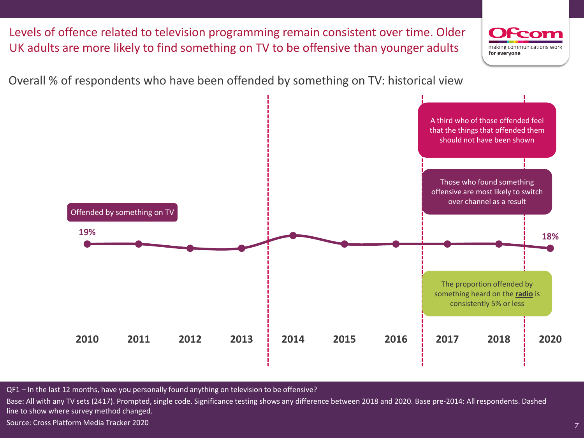Levels of offence related to television programming remain consistent over time. Older UK adults are more likely to find something on TV to be offensive than younger adults making communications work for everyone Overall % of respondents who have been offended by something on TV: historical view A third who of those offended feel that the things that offended them should not have been shown Those who found something offensive are most likely to switch over channel as a resultOffended by something on TV **19% 18%** The proportion offended by something heard on the **radio** is consistently 5% or less **2010 2011 2012 2013 2014 2015 2016 2017 2018 2020**

QF1 – In the last 12 months, have you personally found anything on television to be offensive?

Base: All with any TV sets (2417). Prompted, single code. Significance testing shows any difference between 2018 and 2020. Base pre-2014: All respondents. Dashed line to show where survey method changed.

Source: Cross Platform Media Tracker 2020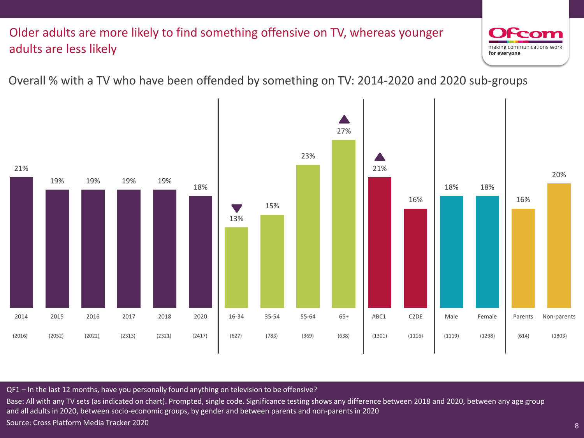#### Older adults are more likely to find something offensive on TV, whereas younger adults are less likely



1

#### Overall % with a TV who have been offended by something on TV: 2014-2020 and 2020 sub-groups



#### QF1 – In the last 12 months, have you personally found anything on television to be offensive?

Base: All with any TV sets (as indicated on chart). Prompted, single code. Significance testing shows any difference between 2018 and 2020, between any age group and all adults in 2020, between socio-economic groups, by gender and between parents and non-parents in 2020 Source: Cross Platform Media Tracker 2020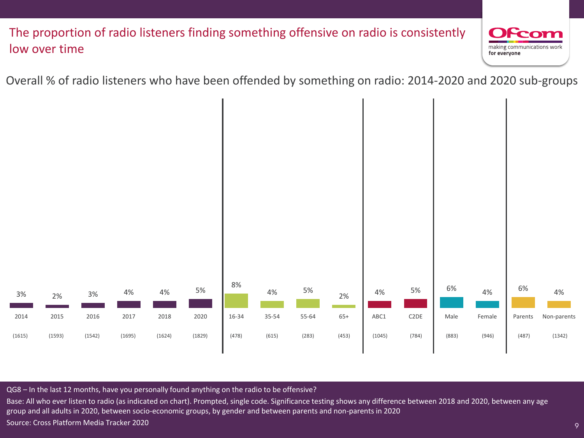#### The proportion of radio listeners finding something offensive on radio is consistently low over time



9

Overall % of radio listeners who have been offended by something on radio: 2014-2020 and 2020 sub-groups



QG8 – In the last 12 months, have you personally found anything on the radio to be offensive?

Base: All who ever listen to radio (as indicated on chart). Prompted, single code. Significance testing shows any difference between 2018 and 2020, between any age group and all adults in 2020, between socio-economic groups, by gender and between parents and non-parents in 2020 Source: Cross Platform Media Tracker 2020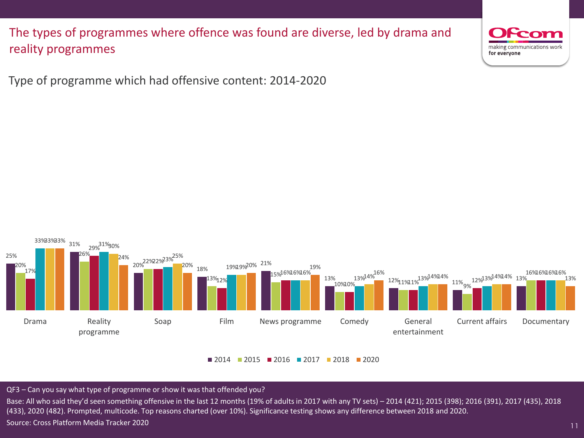The types of programmes where offence was found are diverse, led by drama and reality programmes



11

Type of programme which had offensive content: 2014-2020



 $\blacksquare$  2014  $\blacksquare$  2015  $\blacksquare$  2016  $\blacksquare$  2017  $\blacksquare$  2018  $\blacksquare$  2020

QF3 – Can you say what type of programme or show it was that offended you?

Base: All who said they'd seen something offensive in the last 12 months (19% of adults in 2017 with any TV sets) – 2014 (421); 2015 (398); 2016 (391), 2017 (435), 2018 (433), 2020 (482). Prompted, multicode. Top reasons charted (over 10%). Significance testing shows any difference between 2018 and 2020. Source: Cross Platform Media Tracker 2020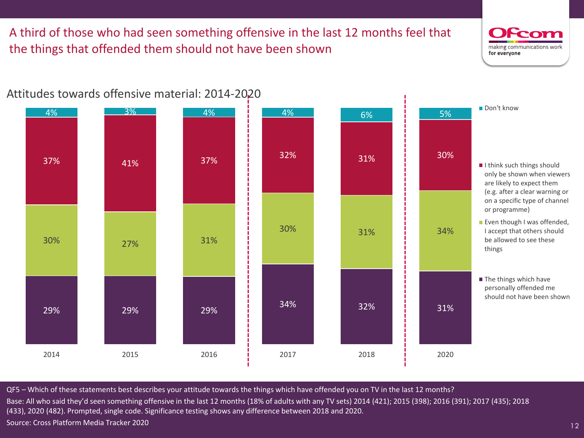A third of those who had seen something offensive in the last 12 months feel that the things that offended them should not have been shown



12



Attitudes towards offensive material: 2014-2020

QF5 – Which of these statements best describes your attitude towards the things which have offended you on TV in the last 12 months? Base: All who said they'd seen something offensive in the last 12 months (18% of adults with any TV sets) 2014 (421); 2015 (398); 2016 (391); 2017 (435); 2018 (433), 2020 (482). Prompted, single code. Significance testing shows any difference between 2018 and 2020. Source: Cross Platform Media Tracker 2020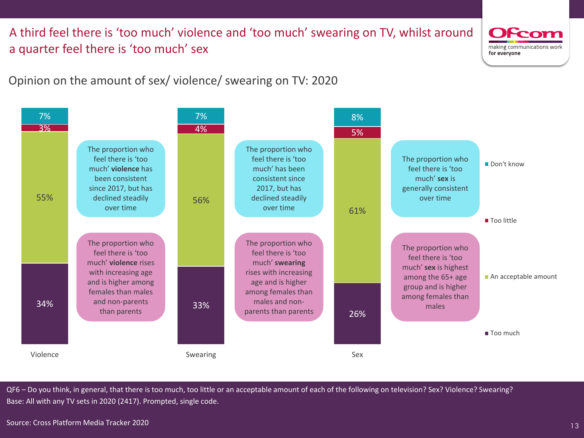A third feel there is 'too much' violence and 'too much' swearing on TV, whilst around a quarter feel there is 'too much' sex



13

Opinion on the amount of sex/ violence/ swearing on TV: 2020



QF6 – Do you think, in general, that there is too much, too little or an acceptable amount of each of the following on television? Sex? Violence? Swearing? Base: All with any TV sets in 2020 (2417). Prompted, single code.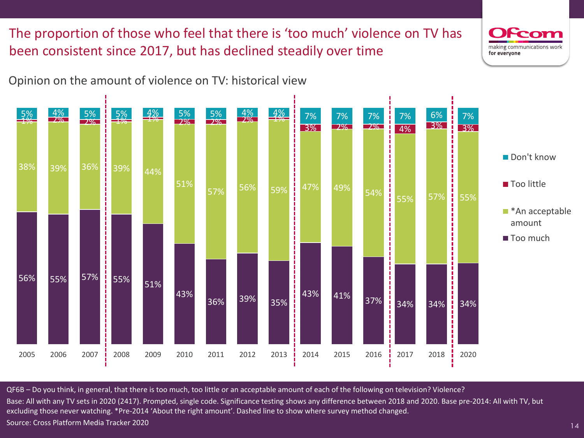The proportion of those who feel that there is 'too much' violence on TV has been consistent since 2017, but has declined steadily over time

![](_page_13_Picture_1.jpeg)

![](_page_13_Figure_2.jpeg)

QF6B – Do you think, in general, that there is too much, too little or an acceptable amount of each of the following on television? Violence? Base: All with any TV sets in 2020 (2417). Prompted, single code. Significance testing shows any difference between 2018 and 2020. Base pre-2014: All with TV, but excluding those never watching. \*Pre-2014 'About the right amount'. Dashed line to show where survey method changed. Source: Cross Platform Media Tracker 2020

14

making communications wor

for everyone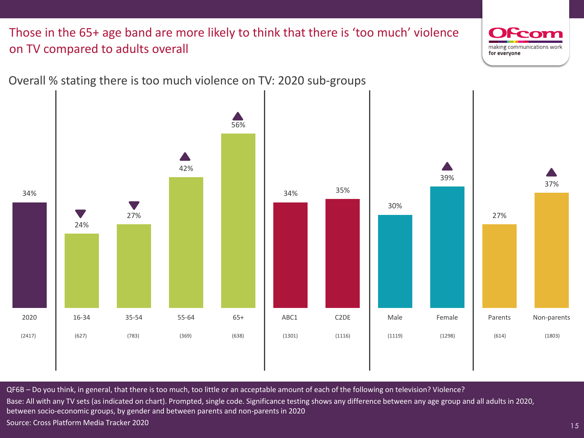#### Those in the 65+ age band are more likely to think that there is 'too much' violence on TV compared to adults overall

![](_page_14_Picture_1.jpeg)

Overall % stating there is too much violence on TV: 2020 sub-groups

QF6B – Do you think, in general, that there is too much, too little or an acceptable amount of each of the following on television? Violence? Base: All with any TV sets (as indicated on chart). Prompted, single code. Significance testing shows any difference between any age group and all adults in 2020, between socio-economic groups, by gender and between parents and non-parents in 2020 Source: Cross Platform Media Tracker 2020

15

making communications work

for everyone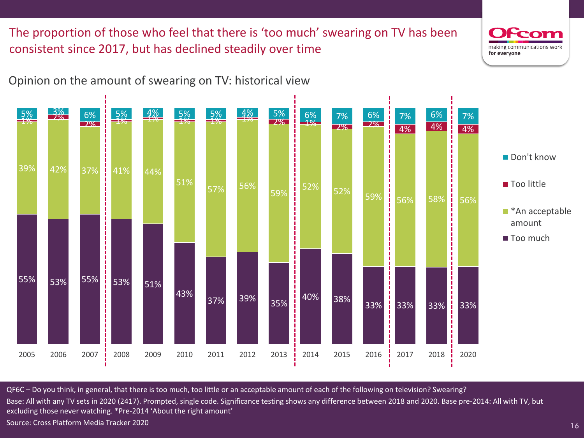The proportion of those who feel that there is 'too much' swearing on TV has been consistent since 2017, but has declined steadily over time

#### Opinion on the amount of swearing on TV: historical view

![](_page_15_Figure_2.jpeg)

Base: All with any TV sets in 2020 (2417). Prompted, single code. Significance testing shows any difference between 2018 and 2020. Base pre-2014: All with TV, but excluding those never watching. \*Pre-2014 'About the right amount'

Source: Cross Platform Media Tracker 2020

![](_page_15_Picture_6.jpeg)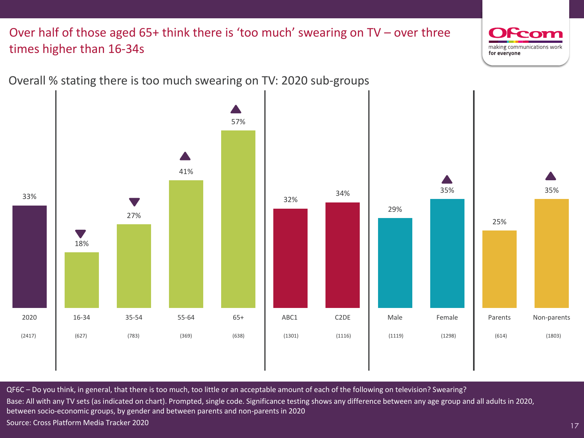#### Over half of those aged 65+ think there is 'too much' swearing on TV – over three times higher than 16-34s

33%

![](_page_16_Picture_1.jpeg)

QF6C – Do you think, in general, that there is too much, too little or an acceptable amount of each of the following on television? Swearing? Base: All with any TV sets (as indicated on chart). Prompted, single code. Significance testing shows any difference between any age group and all adults in 2020, between socio-economic groups, by gender and between parents and non-parents in 2020 Source: Cross Platform Media Tracker 2020

17

making communications work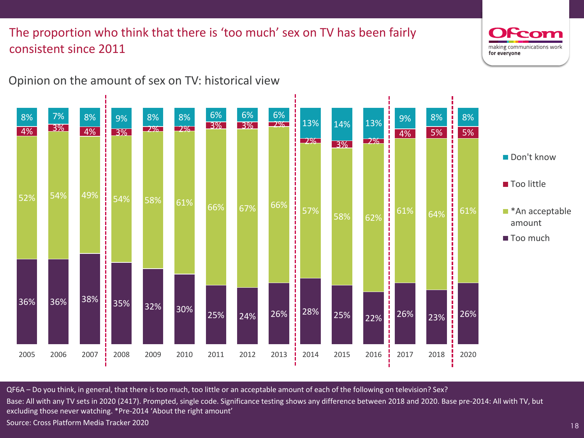### The proportion who think that there is 'too much' sex on TV has been fairly consistent since 2011

#### Opinion on the amount of sex on TV: historical view

![](_page_17_Figure_2.jpeg)

QF6A – Do you think, in general, that there is too much, too little or an acceptable amount of each of the following on television? Sex? Base: All with any TV sets in 2020 (2417). Prompted, single code. Significance testing shows any difference between 2018 and 2020. Base pre-2014: All with TV, but excluding those never watching. \*Pre-2014 'About the right amount' Source: Cross Platform Media Tracker 2020

18

making communications wor

for everyone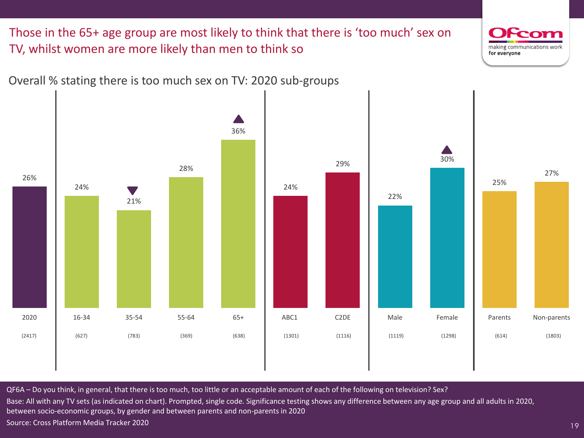Those in the 65+ age group are most likely to think that there is 'too much' sex on TV, whilst women are more likely than men to think so

![](_page_18_Picture_1.jpeg)

19

![](_page_18_Figure_2.jpeg)

Overall % stating there is too much sex on TV: 2020 sub-groups

QF6A – Do you think, in general, that there is too much, too little or an acceptable amount of each of the following on television? Sex? Base: All with any TV sets (as indicated on chart). Prompted, single code. Significance testing shows any difference between any age group and all adults in 2020, between socio-economic groups, by gender and between parents and non-parents in 2020 Source: Cross Platform Media Tracker 2020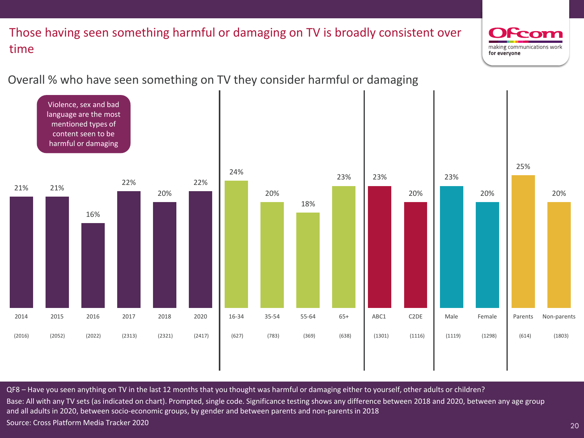### Those having seen something harmful or damaging on TV is broadly consistent over time

#### Overall % who have seen something on TV they consider harmful or damaging

![](_page_19_Figure_2.jpeg)

QF8 – Have you seen anything on TV in the last 12 months that you thought was harmful or damaging either to yourself, other adults or children? Base: All with any TV sets (as indicated on chart). Prompted, single code. Significance testing shows any difference between 2018 and 2020, between any age group and all adults in 2020, between socio-economic groups, by gender and between parents and non-parents in 2018 Source: Cross Platform Media Tracker 2020

20

making communications work

for everyone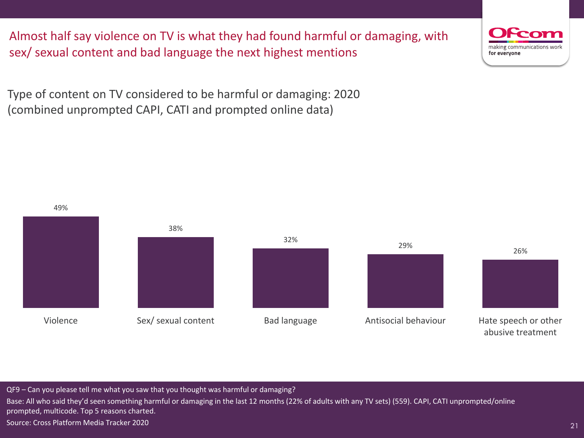Almost half say violence on TV is what they had found harmful or damaging, with sex/ sexual content and bad language the next highest mentions

Type of content on TV considered to be harmful or damaging: 2020 (combined unprompted CAPI, CATI and prompted online data)

![](_page_20_Figure_2.jpeg)

 $\sqrt{QF9 - Can}$  you please tell me what you saw that you thought was harmful or damaging? Base: All who said they'd seen something harmful or damaging in the last 12 months (22% of adults with any TV sets) (559). CAPI, CATI unprompted/online prompted, multicode. Top 5 reasons charted. Source: Cross Platform Media Tracker 2020

![](_page_20_Picture_5.jpeg)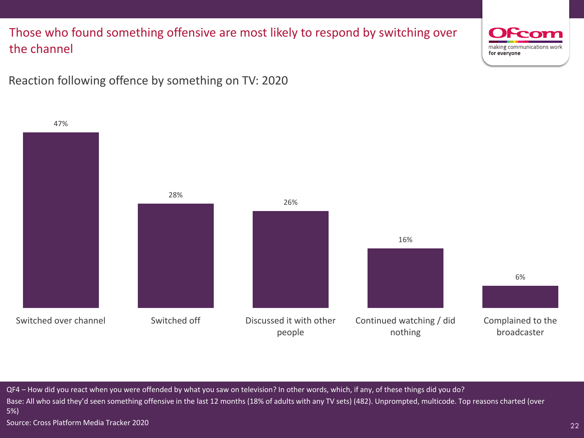#### Those who found something offensive are most likely to respond by switching over the channel

![](_page_21_Picture_1.jpeg)

22

Reaction following offence by something on TV: 2020

![](_page_21_Figure_3.jpeg)

QF4 – How did you react when you were offended by what you saw on television? In other words, which, if any, of these things did you do? Base: All who said they'd seen something offensive in the last 12 months (18% of adults with any TV sets) (482). Unprompted, multicode. Top reasons charted (over 5%)

Source: Cross Platform Media Tracker 2020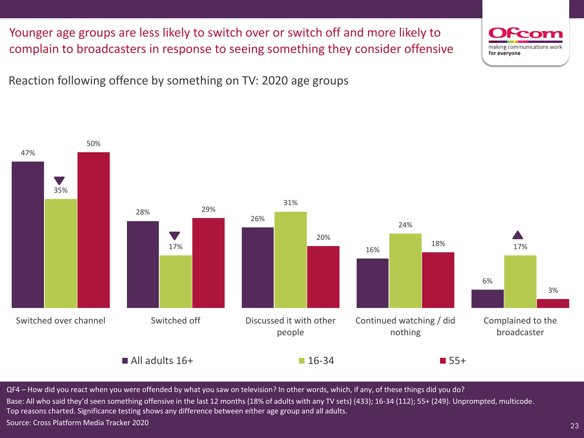Younger age groups are less likely to switch over or switch off and more likely to complain to broadcasters in response to seeing something they consider offensive

Reaction following offence by something on TV: 2020 age groups

![](_page_22_Figure_2.jpeg)

QF4 – How did you react when you were offended by what you saw on television? In other words, which, if any, of these things did you do? Base: All who said they'd seen something offensive in the last 12 months (18% of adults with any TV sets) (433); 16-34 (112); 55+ (249). Unprompted, multicode. Top reasons charted. Significance testing shows any difference between either age group and all adults. Source: Cross Platform Media Tracker 2020

23

making communications worl

for everyone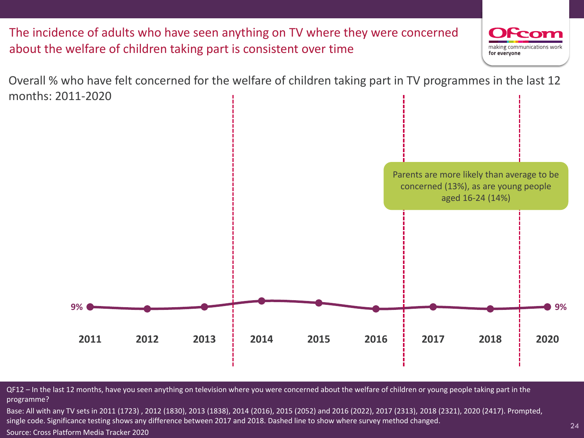![](_page_23_Figure_0.jpeg)

QF12 – In the last 12 months, have you seen anything on television where you were concerned about the welfare of children or young people taking part in the programme?

Base: All with any TV sets in 2011 (1723) , 2012 (1830), 2013 (1838), 2014 (2016), 2015 (2052) and 2016 (2022), 2017 (2313), 2018 (2321), 2020 (2417). Prompted, single code. Significance testing shows any difference between 2017 and 2018. Dashed line to show where survey method changed.

Source: Cross Platform Media Tracker 2020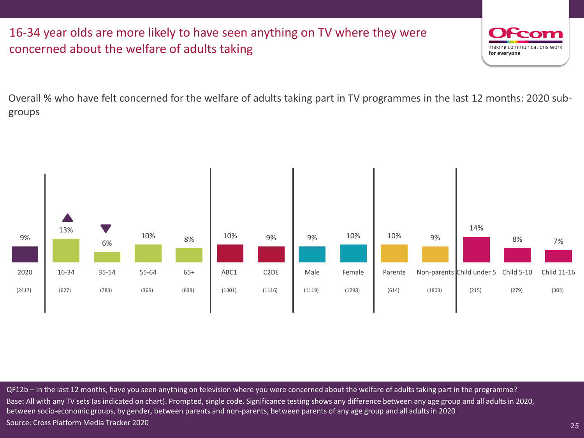#### 16-34 year olds are more likely to have seen anything on TV where they were concerned about the welfare of adults taking

![](_page_24_Picture_1.jpeg)

25

Overall % who have felt concerned for the welfare of adults taking part in TV programmes in the last 12 months: 2020 subgroups

![](_page_24_Figure_3.jpeg)

QF12b – In the last 12 months, have you seen anything on television where you were concerned about the welfare of adults taking part in the programme? Base: All with any TV sets (as indicated on chart). Prompted, single code. Significance testing shows any difference between any age group and all adults in 2020, between socio-economic groups, by gender, between parents and non-parents, between parents of any age group and all adults in 2020 Source: Cross Platform Media Tracker 2020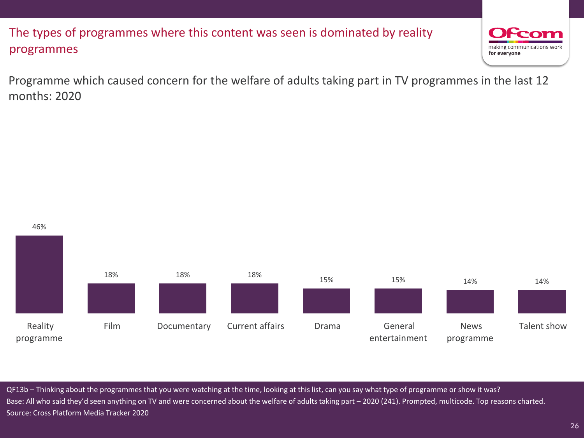### The types of programmes where this content was seen is dominated by reality programmes

![](_page_25_Picture_1.jpeg)

26

Programme which caused concern for the welfare of adults taking part in TV programmes in the last 12 months: 2020

![](_page_25_Figure_3.jpeg)

QF13b – Thinking about the programmes that you were watching at the time, looking at this list, can you say what type of programme or show it was? Base: All who said they'd seen anything on TV and were concerned about the welfare of adults taking part – 2020 (241). Prompted, multicode. Top reasons charted. Source: Cross Platform Media Tracker 2020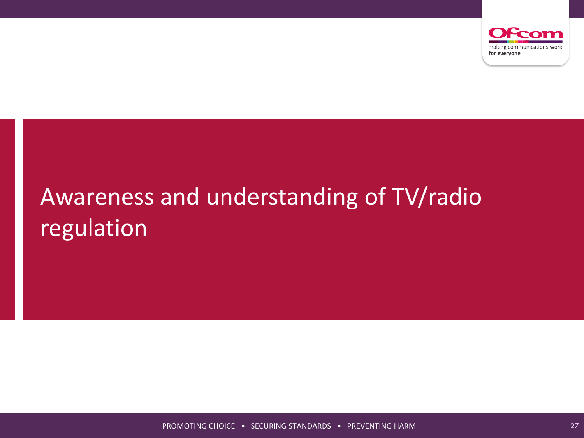![](_page_26_Picture_0.jpeg)

# Awareness and understanding of TV/radio regulation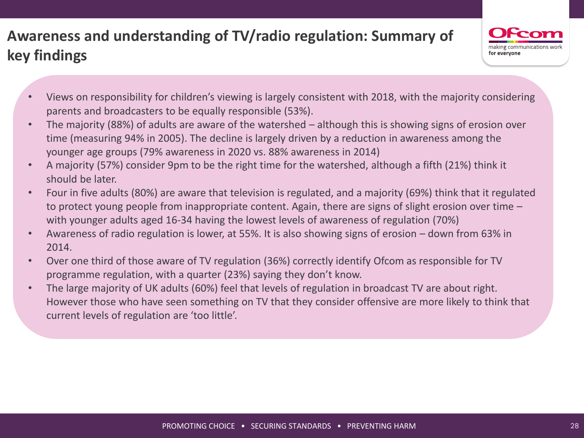## **Awareness and understanding of TV/radio regulation: Summary of key findings**

![](_page_27_Picture_1.jpeg)

- Views on responsibility for children's viewing is largely consistent with 2018, with the majority considering parents and broadcasters to be equally responsible (53%).
- The majority (88%) of adults are aware of the watershed although this is showing signs of erosion over time (measuring 94% in 2005). The decline is largely driven by a reduction in awareness among the younger age groups (79% awareness in 2020 vs. 88% awareness in 2014)
- A majority (57%) consider 9pm to be the right time for the watershed, although a fifth (21%) think it should be later.
- Four in five adults (80%) are aware that television is regulated, and a majority (69%) think that it regulated to protect young people from inappropriate content. Again, there are signs of slight erosion over time – with younger adults aged 16-34 having the lowest levels of awareness of regulation (70%)
- Awareness of radio regulation is lower, at 55%. It is also showing signs of erosion down from 63% in 2014.
- Over one third of those aware of TV regulation (36%) correctly identify Ofcom as responsible for TV programme regulation, with a quarter (23%) saying they don't know.
- The large majority of UK adults (60%) feel that levels of regulation in broadcast TV are about right. However those who have seen something on TV that they consider offensive are more likely to think that current levels of regulation are 'too little'.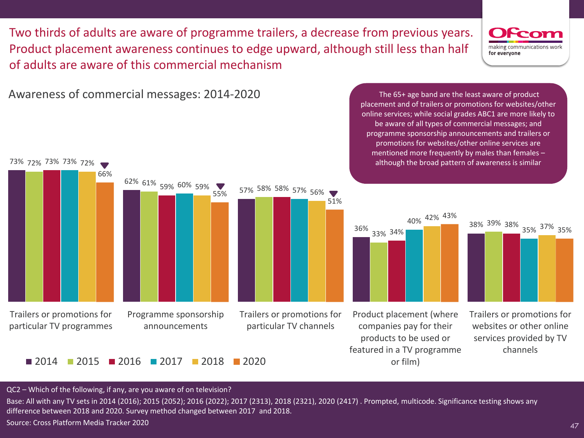Two thirds of adults are aware of programme trailers, a decrease from previous years. Product placement awareness continues to edge upward, although still less than half of adults are aware of this commercial mechanism

![](_page_46_Picture_1.jpeg)

47

Awareness of commercial messages: 2014-2020

![](_page_46_Figure_3.jpeg)

The 65+ age band are the least aware of product placement and of trailers or promotions for websites/other online services; while social grades ABC1 are more likely to be aware of all types of commercial messages; and programme sponsorship announcements and trailers or promotions for websites/other online services are mentioned more frequently by males than females – although the broad pattern of awareness is similar

![](_page_46_Figure_5.jpeg)

39% 38% 35% 37% 35%

QC2 – Which of the following, if any, are you aware of on television?

Base: All with any TV sets in 2014 (2016); 2015 (2052); 2016 (2022); 2017 (2313), 2018 (2321), 2020 (2417) . Prompted, multicode. Significance testing shows any difference between 2018 and 2020. Survey method changed between 2017 and 2018.

Source: Cross Platform Media Tracker 2020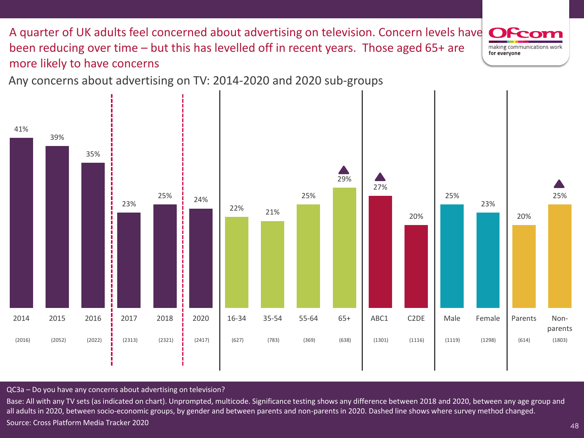A quarter of UK adults feel concerned about advertising on television. Concern levels have OFc been reducing over time – but this has levelled off in recent years. Those aged 65+ are making communications work for everyone more likely to have concerns

Any concerns about advertising on TV: 2014-2020 and 2020 sub-groups

![](_page_47_Figure_2.jpeg)

QC3a – Do you have any concerns about advertising on television?

Base: All with any TV sets (as indicated on chart). Unprompted, multicode. Significance testing shows any difference between 2018 and 2020, between any age group and all adults in 2020, between socio-economic groups, by gender and between parents and non-parents in 2020. Dashed line shows where survey method changed. Source: Cross Platform Media Tracker 2020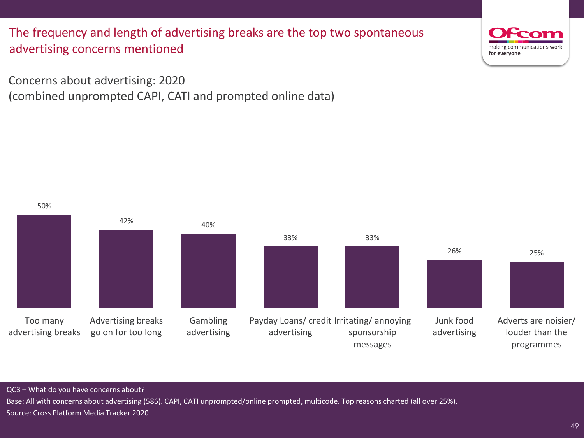The frequency and length of advertising breaks are the top two spontaneous advertising concerns mentioned

Concerns about advertising: 2020 (combined unprompted CAPI, CATI and prompted online data)

50% 42% 40% 33% 33% 26% 25% Too many advertising breaks Advertising breaks go on for too long Gambling advertising Payday Loans/ credit Irritating/ annoying advertising sponsorship messages Junk food advertising Adverts are noisier/ louder than the programmes

QC3 – What do you have concerns about?

Base: All with concerns about advertising (586). CAPI, CATI unprompted/online prompted, multicode. Top reasons charted (all over 25%). Source: Cross Platform Media Tracker 2020

![](_page_48_Picture_7.jpeg)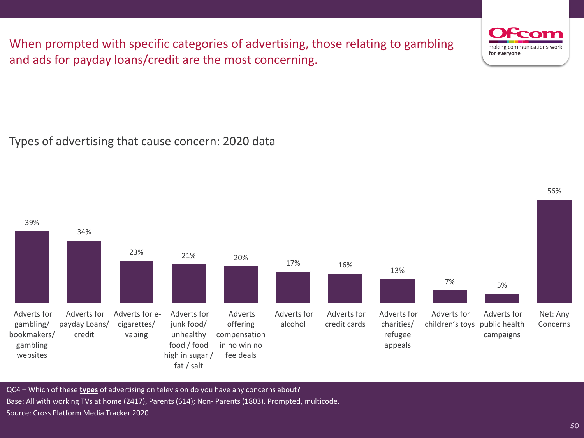When prompted with specific categories of advertising, those relating to gambling and ads for payday loans/credit are the most concerning.

Types of advertising that cause concern: 2020 data

7% 5% Adverts for gambling/ bookmakers/ gambling websites Adverts for payday Loans/ credit Adverts for ecigarettes/ vaping Adverts for junk food/ unhealthy food / food high in sugar / fat / salt Adverts offering compensation in no win no fee deals Adverts for alcohol Adverts for credit cards Adverts for charities/ refugee appeals Adverts for children's toys Adverts for public health campaigns QC4 – Which of these **types** of advertising on television do you have any concerns about?

Base: All with working TVs at home (2417), Parents (614); Non- Parents (1803). Prompted, multicode. Source: Cross Platform Media Tracker 2020

50

![](_page_49_Picture_6.jpeg)

![](_page_49_Figure_7.jpeg)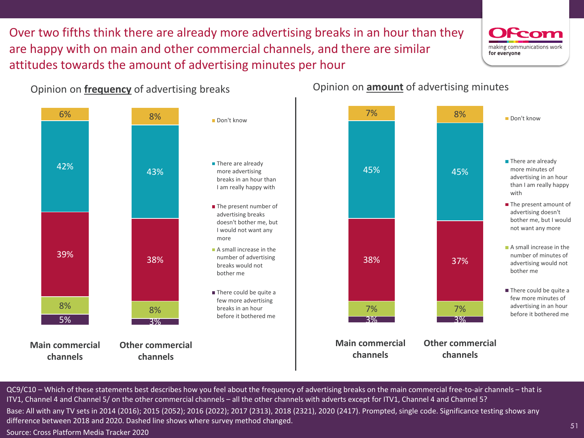Over two fifths think there are already more advertising breaks in an hour than they are happy with on main and other commercial channels, and there are similar attitudes towards the amount of advertising minutes per hour

![](_page_50_Picture_1.jpeg)

51

Opinion on **frequency** of advertising breaks

![](_page_50_Figure_3.jpeg)

Opinion on **amount** of advertising minutes

![](_page_50_Figure_5.jpeg)

QC9/C10 – Which of these statements best describes how you feel about the frequency of advertising breaks on the main commercial free-to-air channels – that is ITV1, Channel 4 and Channel 5/ on the other commercial channels – all the other channels with adverts except for ITV1, Channel 4 and Channel 5? Base: All with any TV sets in 2014 (2016); 2015 (2052); 2016 (2022); 2017 (2313), 2018 (2321), 2020 (2417). Prompted, single code. Significance testing shows any difference between 2018 and 2020. Dashed line shows where survey method changed.

Source: Cross Platform Media Tracker 2020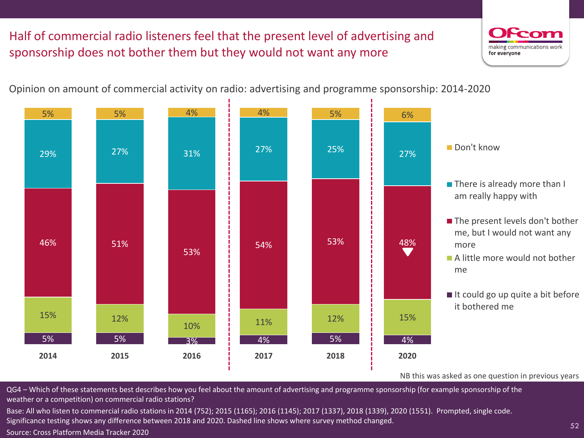## Half of commercial radio listeners feel that the present level of advertising and sponsorship does not bother them but they would not want any more

![](_page_51_Picture_1.jpeg)

52

Opinion on amount of commercial activity on radio: advertising and programme sponsorship: 2014-2020

![](_page_51_Figure_3.jpeg)

QG4 – Which of these statements best describes how you feel about the amount of advertising and programme sponsorship (for example sponsorship of the weather or a competition) on commercial radio stations?

Base: All who listen to commercial radio stations in 2014 (752); 2015 (1165); 2016 (1145); 2017 (1337), 2018 (1339), 2020 (1551). Prompted, single code. Significance testing shows any difference between 2018 and 2020. Dashed line shows where survey method changed.

Source: Cross Platform Media Tracker 2020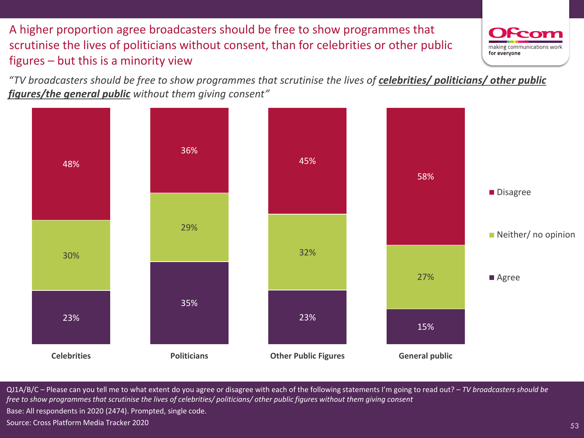A higher proportion agree broadcasters should be free to show programmes that scrutinise the lives of politicians without consent, than for celebrities or other public figures – but this is a minority view

![](_page_52_Picture_1.jpeg)

53

*"TV broadcasters should be free to show programmes that scrutinise the lives of celebrities/ politicians/ other public figures/the general public without them giving consent"*

![](_page_52_Figure_3.jpeg)

QJ1A/B/C – Please can you tell me to what extent do you agree or disagree with each of the following statements I'm going to read out? – *TV broadcasters should be free to show programmes that scrutinise the lives of celebrities/ politicians/ other public figures without them giving consent* Base: All respondents in 2020 (2474). Prompted, single code. Source: Cross Platform Media Tracker 2020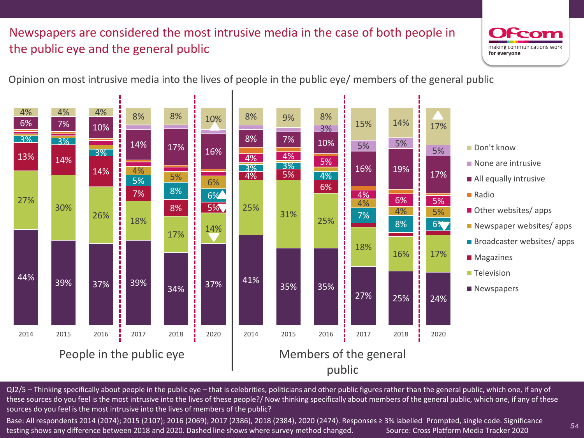### Newspapers are considered the most intrusive media in the case of both people in the public eye and the general public

![](_page_53_Picture_1.jpeg)

54

Opinion on most intrusive media into the lives of people in the public eye/ members of the general public

![](_page_53_Figure_3.jpeg)

QJ2/5 – Thinking specifically about people in the public eye – that is celebrities, politicians and other public figures rather than the general public, which one, if any of these sources do you feel is the most intrusive into the lives of these people?/ Now thinking specifically about members of the general public, which one, if any of these sources do you feel is the most intrusive into the lives of members of the public?

Base: All respondents 2014 (2074); 2015 (2107); 2016 (2069); 2017 (2386), 2018 (2384), 2020 (2474). Responses ≥ 3% labelled. Prompted, single code. Significance testing shows any difference between 2018 and 2020. Dashed line shows where survey method changed. Source: Cross Platform Media Tracker 2020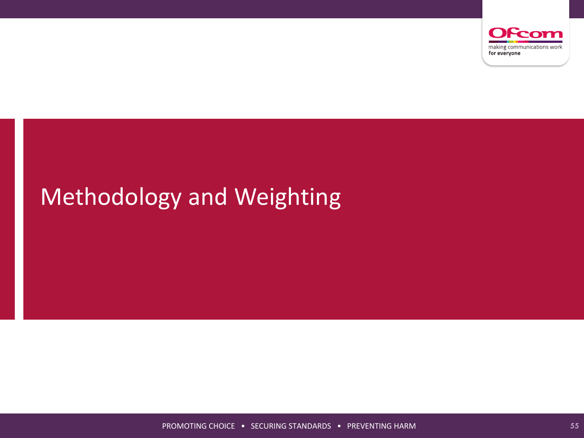![](_page_54_Picture_0.jpeg)

# Methodology and Weighting

PROMOTING CHOICE • SECURING STANDARDS • PREVENTING HARM **FOR SECURITY AND SHAPPER**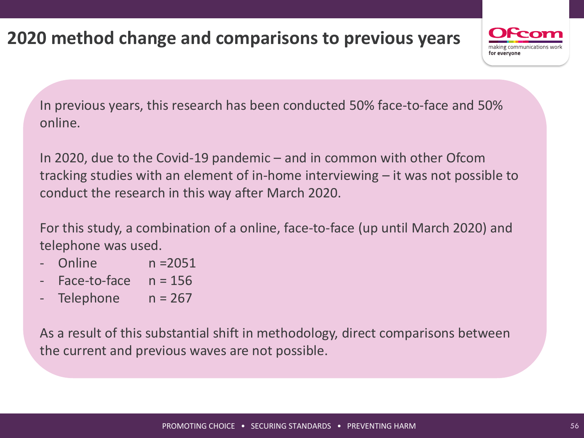# **2020 method change and comparisons to previous years**

![](_page_55_Picture_1.jpeg)

In previous years, this research has been conducted 50% face-to-face and 50% online.

In 2020, due to the Covid-19 pandemic – and in common with other Ofcom tracking studies with an element of in-home interviewing – it was not possible to conduct the research in this way after March 2020.

For this study, a combination of a online, face-to-face (up until March 2020) and telephone was used.

- Online n = 2051
- $-$  Face-to-face  $n = 156$
- Telephone  $n = 267$

As a result of this substantial shift in methodology, direct comparisons between the current and previous waves are not possible.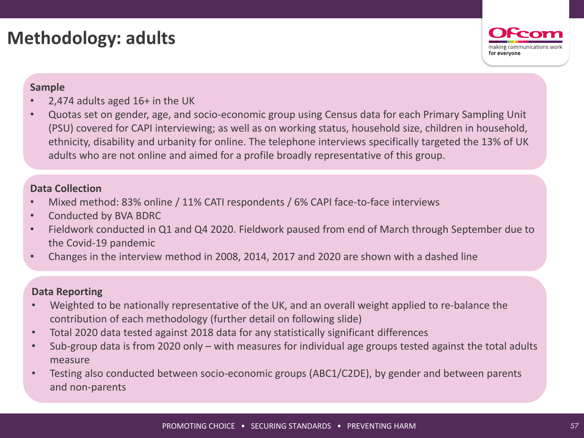## **Methodology: adults**

![](_page_56_Picture_1.jpeg)

#### **Sample**

- 2,474 adults aged  $16+$  in the UK
- Quotas set on gender, age, and socio-economic group using Census data for each Primary Sampling Unit (PSU) covered for CAPI interviewing; as well as on working status, household size, children in household, ethnicity, disability and urbanity for online. The telephone interviews specifically targeted the 13% of UK adults who are not online and aimed for a profile broadly representative of this group.

#### **Data Collection**

- Mixed method: 83% online / 11% CATI respondents / 6% CAPI face-to-face interviews
- Conducted by BVA BDRC
- Fieldwork conducted in Q1 and Q4 2020. Fieldwork paused from end of March through September due to the Covid-19 pandemic
- Changes in the interview method in 2008, 2014, 2017 and 2020 are shown with a dashed line

#### **Data Reporting**

- Weighted to be nationally representative of the UK, and an overall weight applied to re-balance the contribution of each methodology (further detail on following slide)
- Total 2020 data tested against 2018 data for any statistically significant differences
- Sub-group data is from 2020 only with measures for individual age groups tested against the total adults measure
- Testing also conducted between socio-economic groups (ABC1/C2DE), by gender and between parents and non-parents